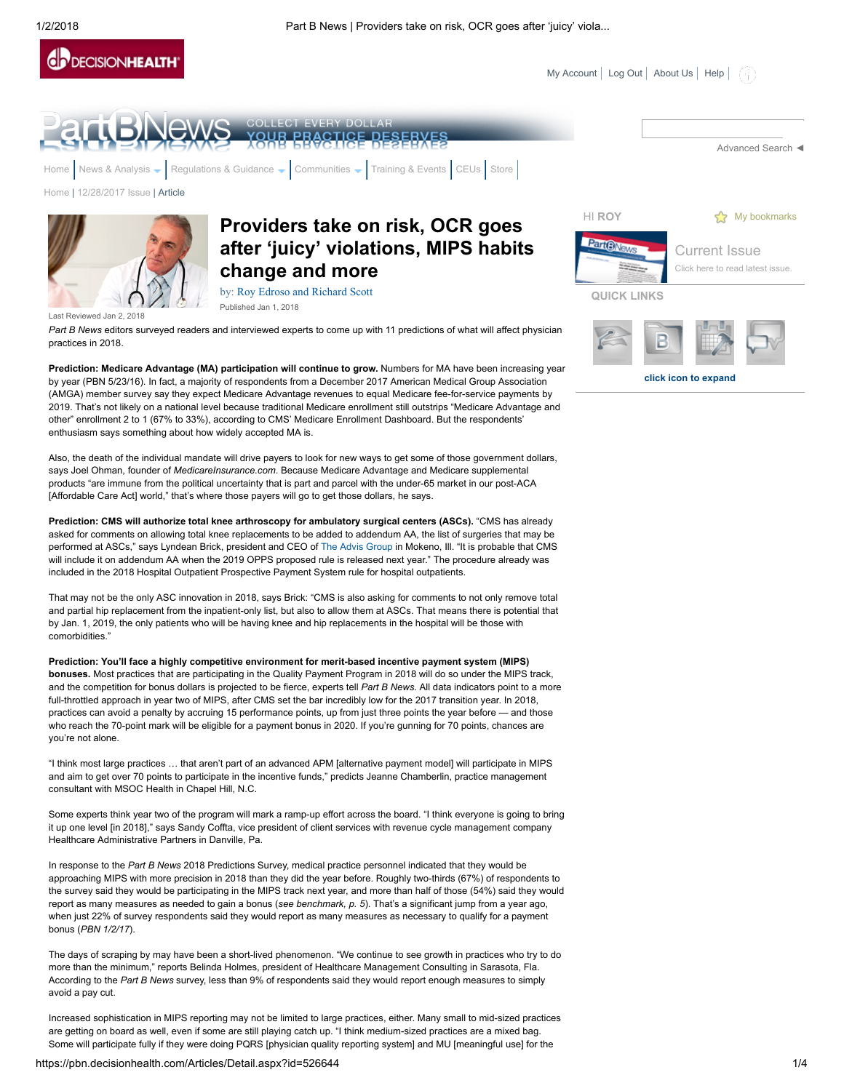

click icon to expand



Prediction: Medicare Advantage (MA) participation will continue to grow. Numbers for MA have been increasing year by year (PBN 5/23/16). In fact, a majority of respondents from a December 2017 American Medical Group Association (AMGA) member survey say they expect Medicare Advantage revenues to equal Medicare fee-for-service payments by 2019. That's not likely on a national level because traditional Medicare enrollment still outstrips "Medicare Advantage and other" enrollment 2 to 1 (67% to 33%), according to CMS' Medicare Enrollment Dashboard. But the respondents' enthusiasm says something about how widely accepted MA is.

Also, the death of the individual mandate will drive payers to look for new ways to get some of those government dollars, says Joel Ohman, founder of MedicareInsurance.com. Because Medicare Advantage and Medicare supplemental products "are immune from the political uncertainty that is part and parcel with the under-65 market in our post-ACA [Affordable Care Act] world," that's where those payers will go to get those dollars, he says.

Prediction: CMS will authorize total knee arthroscopy for ambulatory surgical centers (ASCs). "CMS has already asked for comments on allowing total knee replacements to be added to addendum AA, the list of surgeries that may be performed at ASCs," says Lyndean Brick, president and CEO of [The Advis Group](https://theadvisgroup.com/) in Mokeno, Ill. "It is probable that CMS will include it on addendum AA when the 2019 OPPS proposed rule is released next year." The procedure already was included in the 2018 Hospital Outpatient Prospective Payment System rule for hospital outpatients.

That may not be the only ASC innovation in 2018, says Brick: "CMS is also asking for comments to not only remove total and partial hip replacement from the inpatient-only list, but also to allow them at ASCs. That means there is potential that by Jan. 1, 2019, the only patients who will be having knee and hip replacements in the hospital will be those with comorbidities."

Prediction: You'll face a highly competitive environment for merit-based incentive payment system (MIPS) bonuses. Most practices that are participating in the Quality Payment Program in 2018 will do so under the MIPS track, and the competition for bonus dollars is projected to be fierce, experts tell Part B News. All data indicators point to a more full-throttled approach in year two of MIPS, after CMS set the bar incredibly low for the 2017 transition year. In 2018, practices can avoid a penalty by accruing 15 performance points, up from just three points the year before — and those who reach the 70-point mark will be eligible for a payment bonus in 2020. If you're gunning for 70 points, chances are you're not alone.

"I think most large practices … that aren't part of an advanced APM [alternative payment model] will participate in MIPS and aim to get over 70 points to participate in the incentive funds," predicts Jeanne Chamberlin, practice management consultant with MSOC Health in Chapel Hill, N.C.

Some experts think year two of the program will mark a ramp-up effort across the board. "I think everyone is going to bring it up one level [in 2018]," says Sandy Coffta, vice president of client services with revenue cycle management company Healthcare Administrative Partners in Danville, Pa.

In response to the Part B News 2018 Predictions Survey, medical practice personnel indicated that they would be approaching MIPS with more precision in 2018 than they did the year before. Roughly two-thirds (67%) of respondents to the survey said they would be participating in the MIPS track next year, and more than half of those (54%) said they would report as many measures as needed to gain a bonus (see benchmark,  $p.$  5). That's a significant jump from a year ago, when just 22% of survey respondents said they would report as many measures as necessary to qualify for a payment bonus (PBN 1/2/17).

The days of scraping by may have been a short-lived phenomenon. "We continue to see growth in practices who try to do more than the minimum," reports Belinda Holmes, president of Healthcare Management Consulting in Sarasota, Fla. According to the Part B News survey, less than 9% of respondents said they would report enough measures to simply avoid a pay cut.

Increased sophistication in MIPS reporting may not be limited to large practices, either. Many small to mid-sized practices are getting on board as well, even if some are still playing catch up. "I think medium-sized practices are a mixed bag. Some will participate fully if they were doing PQRS [physician quality reporting system] and MU [meaningful use] for the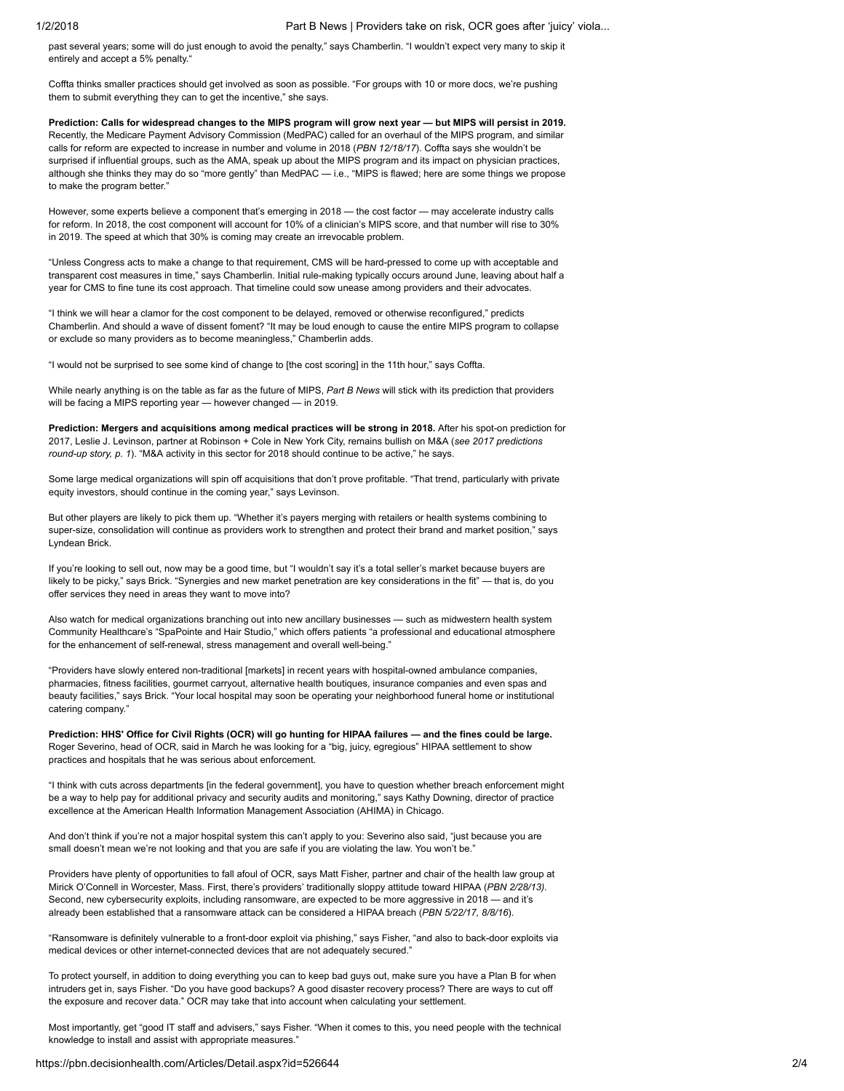past several years; some will do just enough to avoid the penalty," says Chamberlin. "I wouldn't expect very many to skip it entirely and accept a 5% penalty."

Coffta thinks smaller practices should get involved as soon as possible. "For groups with 10 or more docs, we're pushing them to submit everything they can to get the incentive," she says.

Prediction: Calls for widespread changes to the MIPS program will grow next year — but MIPS will persist in 2019. Recently, the Medicare Payment Advisory Commission (MedPAC) called for an overhaul of the MIPS program, and similar calls for reform are expected to increase in number and volume in 2018 (PBN 12/18/17). Coffta says she wouldn't be surprised if influential groups, such as the AMA, speak up about the MIPS program and its impact on physician practices, although she thinks they may do so "more gently" than MedPAC — i.e., "MIPS is flawed; here are some things we propose to make the program better."

However, some experts believe a component that's emerging in 2018 — the cost factor — may accelerate industry calls for reform. In 2018, the cost component will account for 10% of a clinician's MIPS score, and that number will rise to 30% in 2019. The speed at which that 30% is coming may create an irrevocable problem.

"Unless Congress acts to make a change to that requirement, CMS will be hard-pressed to come up with acceptable and transparent cost measures in time," says Chamberlin. Initial rule-making typically occurs around June, leaving about half a year for CMS to fine tune its cost approach. That timeline could sow unease among providers and their advocates.

"I think we will hear a clamor for the cost component to be delayed, removed or otherwise reconfigured," predicts Chamberlin. And should a wave of dissent foment? "It may be loud enough to cause the entire MIPS program to collapse or exclude so many providers as to become meaningless," Chamberlin adds.

"I would not be surprised to see some kind of change to [the cost scoring] in the 11th hour," says Coffta.

While nearly anything is on the table as far as the future of MIPS, Part B News will stick with its prediction that providers will be facing a MIPS reporting year — however changed — in 2019.

Prediction: Mergers and acquisitions among medical practices will be strong in 2018. After his spot-on prediction for 2017, Leslie J. Levinson, partner at Robinson + Cole in New York City, remains bullish on M&A (see 2017 predictions round-up story, p. 1). "M&A activity in this sector for 2018 should continue to be active," he says.

Some large medical organizations will spin off acquisitions that don't prove profitable. "That trend, particularly with private equity investors, should continue in the coming year," says Levinson.

But other players are likely to pick them up. "Whether it's payers merging with retailers or health systems combining to super-size, consolidation will continue as providers work to strengthen and protect their brand and market position," says Lyndean Brick.

If you're looking to sell out, now may be a good time, but "I wouldn't say it's a total seller's market because buyers are likely to be picky," says Brick. "Synergies and new market penetration are key considerations in the fit" — that is, do you offer services they need in areas they want to move into?

Also watch for medical organizations branching out into new ancillary businesses — such as midwestern health system Community Healthcare's "SpaPointe and Hair Studio," which offers patients "a professional and educational atmosphere for the enhancement of self-renewal, stress management and overall well-being."

"Providers have slowly entered non-traditional [markets] in recent years with hospital-owned ambulance companies, pharmacies, fitness facilities, gourmet carryout, alternative health boutiques, insurance companies and even spas and beauty facilities," says Brick. "Your local hospital may soon be operating your neighborhood funeral home or institutional catering company."

Prediction: HHS' Office for Civil Rights (OCR) will go hunting for HIPAA failures — and the fines could be large. Roger Severino, head of OCR, said in March he was looking for a "big, juicy, egregious" HIPAA settlement to show practices and hospitals that he was serious about enforcement.

"I think with cuts across departments [in the federal government], you have to question whether breach enforcement might be a way to help pay for additional privacy and security audits and monitoring," says Kathy Downing, director of practice excellence at the American Health Information Management Association (AHIMA) in Chicago.

And don't think if you're not a major hospital system this can't apply to you: Severino also said, "just because you are small doesn't mean we're not looking and that you are safe if you are violating the law. You won't be."

Providers have plenty of opportunities to fall afoul of OCR, says Matt Fisher, partner and chair of the health law group at Mirick O'Connell in Worcester, Mass. First, there's providers' traditionally sloppy attitude toward HIPAA (PBN 2/28/13). Second, new cybersecurity exploits, including ransomware, are expected to be more aggressive in 2018 — and it's already been established that a ransomware attack can be considered a HIPAA breach (PBN 5/22/17, 8/8/16).

"Ransomware is definitely vulnerable to a front-door exploit via phishing," says Fisher, "and also to back-door exploits via medical devices or other internet-connected devices that are not adequately secured."

To protect yourself, in addition to doing everything you can to keep bad guys out, make sure you have a Plan B for when intruders get in, says Fisher. "Do you have good backups? A good disaster recovery process? There are ways to cut off the exposure and recover data." OCR may take that into account when calculating your settlement.

Most importantly, get "good IT staff and advisers," says Fisher. "When it comes to this, you need people with the technical knowledge to install and assist with appropriate measures."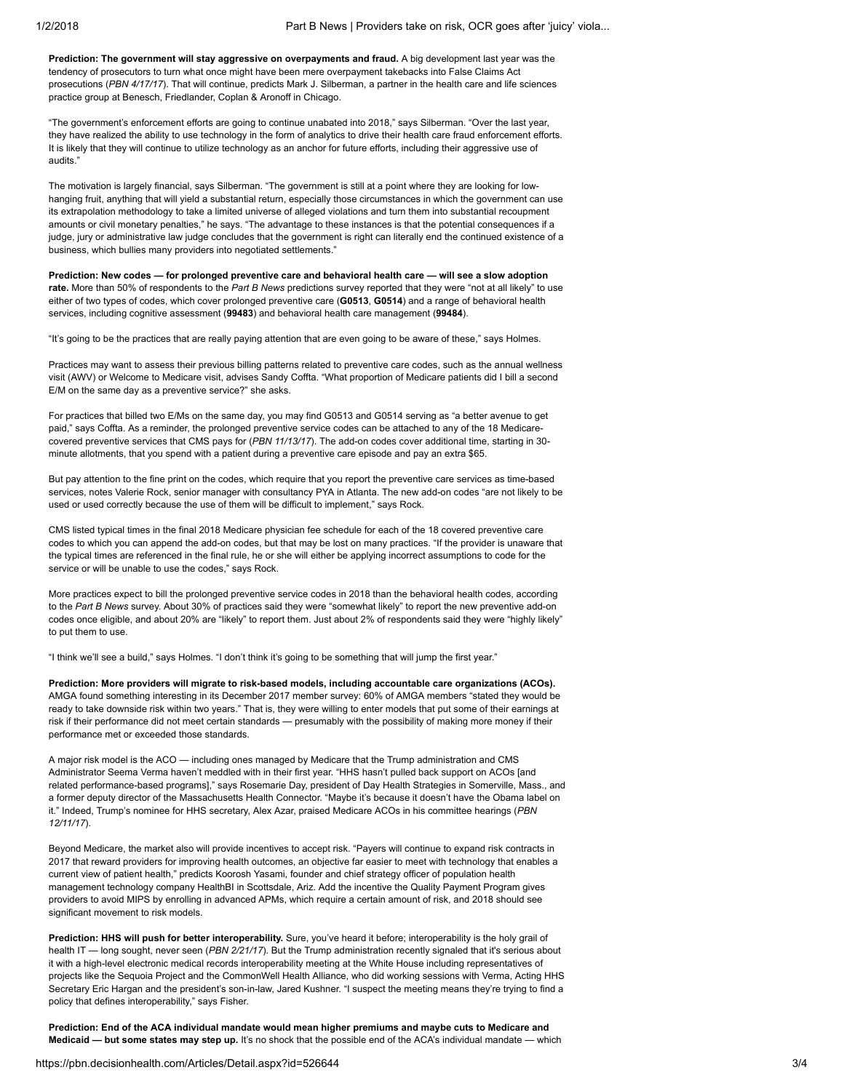Prediction: The government will stay aggressive on overpayments and fraud. A big development last year was the tendency of prosecutors to turn what once might have been mere overpayment takebacks into False Claims Act prosecutions (PBN 4/17/17). That will continue, predicts Mark J. Silberman, a partner in the health care and life sciences practice group at Benesch, Friedlander, Coplan & Aronoff in Chicago.

"The government's enforcement efforts are going to continue unabated into 2018," says Silberman. "Over the last year, they have realized the ability to use technology in the form of analytics to drive their health care fraud enforcement efforts. It is likely that they will continue to utilize technology as an anchor for future efforts, including their aggressive use of audits."

The motivation is largely financial, says Silberman. "The government is still at a point where they are looking for lowhanging fruit, anything that will yield a substantial return, especially those circumstances in which the government can use its extrapolation methodology to take a limited universe of alleged violations and turn them into substantial recoupment amounts or civil monetary penalties," he says. "The advantage to these instances is that the potential consequences if a judge, jury or administrative law judge concludes that the government is right can literally end the continued existence of a business, which bullies many providers into negotiated settlements."

Prediction: New codes — for prolonged preventive care and behavioral health care — will see a slow adoption rate. More than 50% of respondents to the Part B News predictions survey reported that they were "not at all likely" to use either of two types of codes, which cover prolonged preventive care (G0513, G0514) and a range of behavioral health services, including cognitive assessment (99483) and behavioral health care management (99484).

"It's going to be the practices that are really paying attention that are even going to be aware of these," says Holmes.

Practices may want to assess their previous billing patterns related to preventive care codes, such as the annual wellness visit (AWV) or Welcome to Medicare visit, advises Sandy Coffta. "What proportion of Medicare patients did I bill a second E/M on the same day as a preventive service?" she asks.

For practices that billed two E/Ms on the same day, you may find G0513 and G0514 serving as "a better avenue to get paid," says Coffta. As a reminder, the prolonged preventive service codes can be attached to any of the 18 Medicarecovered preventive services that CMS pays for (PBN 11/13/17). The add-on codes cover additional time, starting in 30minute allotments, that you spend with a patient during a preventive care episode and pay an extra \$65.

But pay attention to the fine print on the codes, which require that you report the preventive care services as time-based services, notes Valerie Rock, senior manager with consultancy PYA in Atlanta. The new add-on codes "are not likely to be used or used correctly because the use of them will be difficult to implement," says Rock.

CMS listed typical times in the final 2018 Medicare physician fee schedule for each of the 18 covered preventive care codes to which you can append the add-on codes, but that may be lost on many practices. "If the provider is unaware that the typical times are referenced in the final rule, he or she will either be applying incorrect assumptions to code for the service or will be unable to use the codes," says Rock.

More practices expect to bill the prolonged preventive service codes in 2018 than the behavioral health codes, according to the Part B News survey. About 30% of practices said they were "somewhat likely" to report the new preventive add-on codes once eligible, and about 20% are "likely" to report them. Just about 2% of respondents said they were "highly likely" to put them to use.

"I think we'll see a build," says Holmes. "I don't think it's going to be something that will jump the first year."

Prediction: More providers will migrate to risk-based models, including accountable care organizations (ACOs). AMGA found something interesting in its December 2017 member survey: 60% of AMGA members "stated they would be ready to take downside risk within two years." That is, they were willing to enter models that put some of their earnings at risk if their performance did not meet certain standards — presumably with the possibility of making more money if their performance met or exceeded those standards.

A major risk model is the ACO — including ones managed by Medicare that the Trump administration and CMS Administrator Seema Verma haven't meddled with in their first year. "HHS hasn't pulled back support on ACOs [and related performance-based programs]," says Rosemarie Day, president of Day Health Strategies in Somerville, Mass., and a former deputy director of the Massachusetts Health Connector. "Maybe it's because it doesn't have the Obama label on it." Indeed, Trump's nominee for HHS secretary, Alex Azar, praised Medicare ACOs in his committee hearings (PBN 12/11/17).

Beyond Medicare, the market also will provide incentives to accept risk. "Payers will continue to expand risk contracts in 2017 that reward providers for improving health outcomes, an objective far easier to meet with technology that enables a current view of patient health," predicts Koorosh Yasami, founder and chief strategy officer of population health management technology company HealthBI in Scottsdale, Ariz. Add the incentive the Quality Payment Program gives providers to avoid MIPS by enrolling in advanced APMs, which require a certain amount of risk, and 2018 should see significant movement to risk models.

Prediction: HHS will push for better interoperability. Sure, you've heard it before; interoperability is the holy grail of health IT — long sought, never seen (PBN 2/21/17). But the Trump administration recently signaled that it's serious about it with a high-level electronic medical records interoperability meeting at the White House including representatives of projects like the Sequoia Project and the CommonWell Health Alliance, who did working sessions with Verma, Acting HHS Secretary Eric Hargan and the president's son-in-law, Jared Kushner. "I suspect the meeting means they're trying to find a policy that defines interoperability," says Fisher.

Prediction: End of the ACA individual mandate would mean higher premiums and maybe cuts to Medicare and Medicaid — but some states may step up. It's no shock that the possible end of the ACA's individual mandate — which